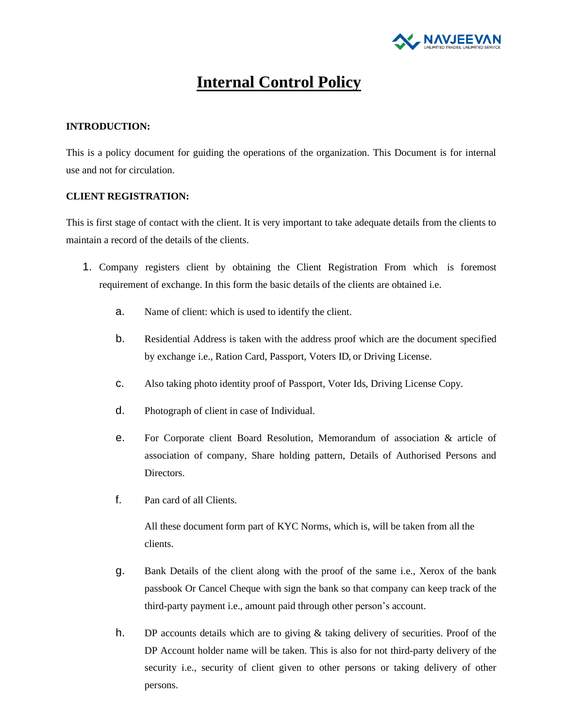

# **Internal Control Policy**

# **INTRODUCTION:**

This is a policy document for guiding the operations of the organization. This Document is for internal use and not for circulation.

## **CLIENT REGISTRATION:**

This is first stage of contact with the client. It is very important to take adequate details from the clients to maintain a record of the details of the clients.

- 1. Company registers client by obtaining the Client Registration From which is foremost requirement of exchange. In this form the basic details of the clients are obtained i.e.
	- a. Name of client: which is used to identify the client.
	- b. Residential Address is taken with the address proof which are the document specified by exchange i.e., Ration Card, Passport, Voters ID, or Driving License.
	- c. Also taking photo identity proof of Passport, Voter Ids, Driving License Copy.
	- d. Photograph of client in case of Individual.
	- e. For Corporate client Board Resolution, Memorandum of association & article of association of company, Share holding pattern, Details of Authorised Persons and Directors.
	- f. Pan card of all Clients.

All these document form part of KYC Norms, which is, will be taken from all the clients.

- g. Bank Details of the client along with the proof of the same i.e., Xerox of the bank passbook Or Cancel Cheque with sign the bank so that company can keep track of the third-party payment i.e., amount paid through other person's account.
- h. DP accounts details which are to giving & taking delivery of securities. Proof of the DP Account holder name will be taken. This is also for not third-party delivery of the security i.e., security of client given to other persons or taking delivery of other persons.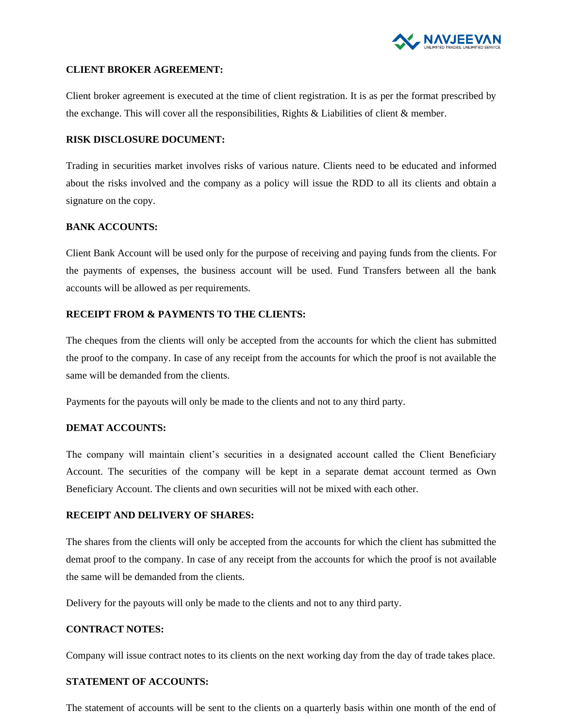

#### **CLIENT BROKER AGREEMENT:**

Client broker agreement is executed at the time of client registration. It is as per the format prescribed by the exchange. This will cover all the responsibilities, Rights & Liabilities of client & member.

#### **RISK DISCLOSURE DOCUMENT:**

Trading in securities market involves risks of various nature. Clients need to be educated and informed about the risks involved and the company as a policy will issue the RDD to all its clients and obtain a signature on the copy.

### **BANK ACCOUNTS:**

Client Bank Account will be used only for the purpose of receiving and paying funds from the clients. For the payments of expenses, the business account will be used. Fund Transfers between all the bank accounts will be allowed as per requirements.

## **RECEIPT FROM & PAYMENTS TO THE CLIENTS:**

The cheques from the clients will only be accepted from the accounts for which the client has submitted the proof to the company. In case of any receipt from the accounts for which the proof is not available the same will be demanded from the clients.

Payments for the payouts will only be made to the clients and not to any third party.

## **DEMAT ACCOUNTS:**

The company will maintain client's securities in a designated account called the Client Beneficiary Account. The securities of the company will be kept in a separate demat account termed as Own Beneficiary Account. The clients and own securities will not be mixed with each other.

## **RECEIPT AND DELIVERY OF SHARES:**

The shares from the clients will only be accepted from the accounts for which the client has submitted the demat proof to the company. In case of any receipt from the accounts for which the proof is not available the same will be demanded from the clients.

Delivery for the payouts will only be made to the clients and not to any third party.

## **CONTRACT NOTES:**

Company will issue contract notes to its clients on the next working day from the day of trade takes place.

## **STATEMENT OF ACCOUNTS:**

The statement of accounts will be sent to the clients on a quarterly basis within one month of the end of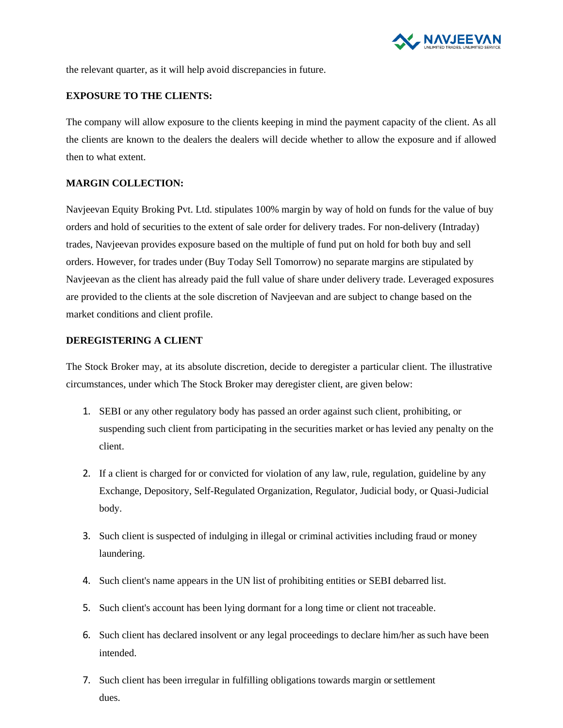

the relevant quarter, as it will help avoid discrepancies in future.

## **EXPOSURE TO THE CLIENTS:**

The company will allow exposure to the clients keeping in mind the payment capacity of the client. As all the clients are known to the dealers the dealers will decide whether to allow the exposure and if allowed then to what extent.

## **MARGIN COLLECTION:**

Navjeevan Equity Broking Pvt. Ltd. stipulates 100% margin by way of hold on funds for the value of buy orders and hold of securities to the extent of sale order for delivery trades. For non-delivery (Intraday) trades, Navjeevan provides exposure based on the multiple of fund put on hold for both buy and sell orders. However, for trades under (Buy Today Sell Tomorrow) no separate margins are stipulated by Navjeevan as the client has already paid the full value of share under delivery trade. Leveraged exposures are provided to the clients at the sole discretion of Navjeevan and are subject to change based on the market conditions and client profile.

### **DEREGISTERING A CLIENT**

The Stock Broker may, at its absolute discretion, decide to deregister a particular client. The illustrative circumstances, under which The Stock Broker may deregister client, are given below:

- 1. SEBI or any other regulatory body has passed an order against such client, prohibiting, or suspending such client from participating in the securities market or has levied any penalty on the client.
- 2. If a client is charged for or convicted for violation of any law, rule, regulation, guideline by any Exchange, Depository, Self-Regulated Organization, Regulator, Judicial body, or Quasi-Judicial body.
- 3. Such client is suspected of indulging in illegal or criminal activities including fraud or money laundering.
- 4. Such client's name appears in the UN list of prohibiting entities or SEBI debarred list.
- 5. Such client's account has been lying dormant for a long time or client not traceable.
- 6. Such client has declared insolvent or any legal proceedings to declare him/her as such have been intended.
- 7. Such client has been irregular in fulfilling obligations towards margin or settlement dues.